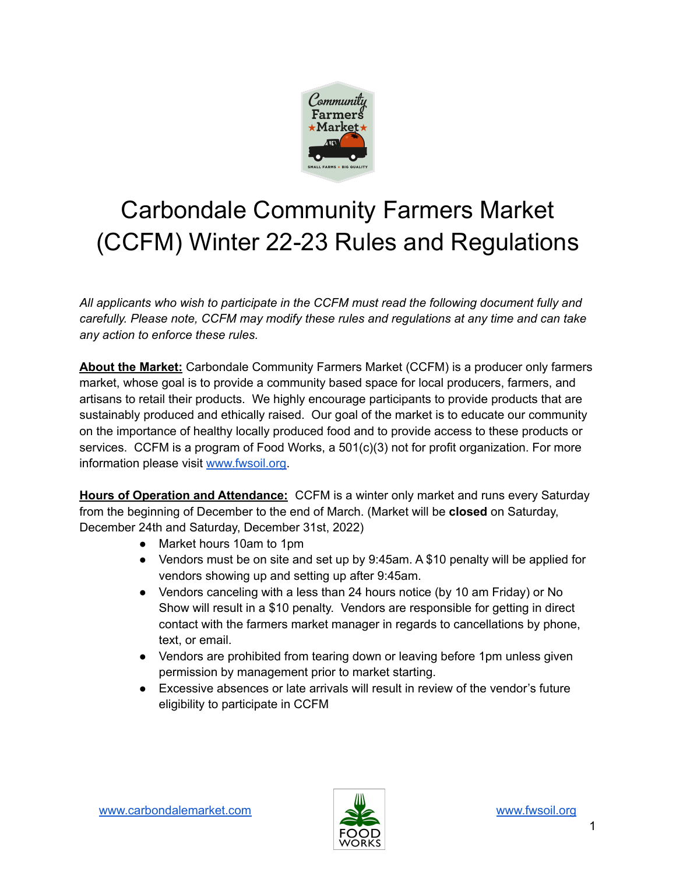

# Carbondale Community Farmers Market (CCFM) Winter 22-23 Rules and Regulations

*All applicants who wish to participate in the CCFM must read the following document fully and carefully. Please note, CCFM may modify these rules and regulations at any time and can take any action to enforce these rules.*

**About the Market:** Carbondale Community Farmers Market (CCFM) is a producer only farmers market, whose goal is to provide a community based space for local producers, farmers, and artisans to retail their products. We highly encourage participants to provide products that are sustainably produced and ethically raised. Our goal of the market is to educate our community on the importance of healthy locally produced food and to provide access to these products or services. CCFM is a program of Food Works, a 501(c)(3) not for profit organization. For more information please visit [www.fwsoil.org.](http://www.fwsoil.org)

**Hours of Operation and Attendance:** CCFM is a winter only market and runs every Saturday from the beginning of December to the end of March. (Market will be **closed** on Saturday, December 24th and Saturday, December 31st, 2022)

- Market hours 10am to 1pm
- Vendors must be on site and set up by 9:45am. A \$10 penalty will be applied for vendors showing up and setting up after 9:45am.
- Vendors canceling with a less than 24 hours notice (by 10 am Friday) or No Show will result in a \$10 penalty. Vendors are responsible for getting in direct contact with the farmers market manager in regards to cancellations by phone, text, or email.
- Vendors are prohibited from tearing down or leaving before 1pm unless given permission by management prior to market starting.
- Excessive absences or late arrivals will result in review of the vendor's future eligibility to participate in CCFM

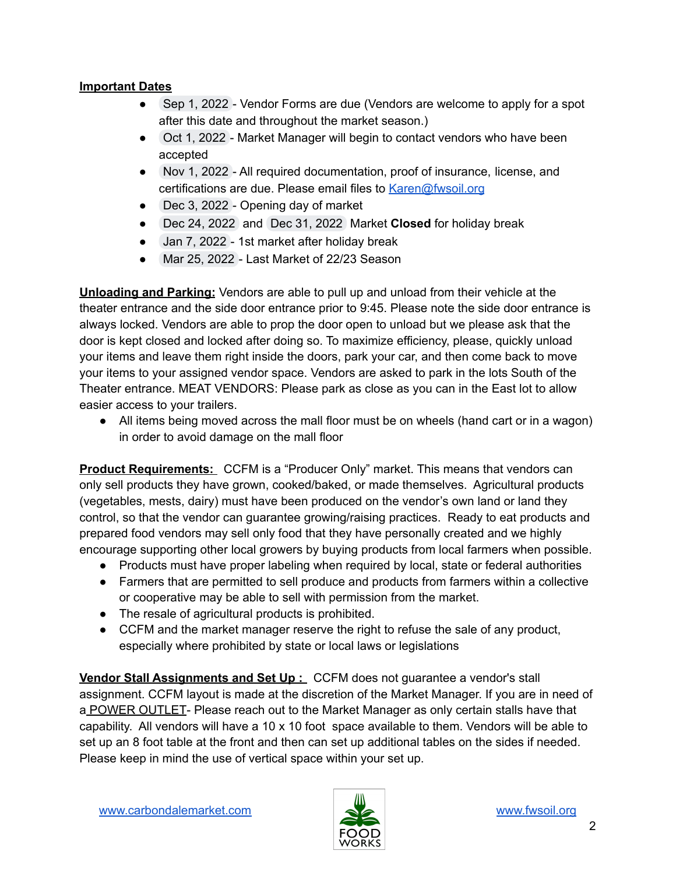#### **Important Dates**

- Sep 1, 2022 Vendor Forms are due (Vendors are welcome to apply for a spot after this date and throughout the market season.)
- Oct 1, 2022 Market Manager will begin to contact vendors who have been accepted
- Nov 1, 2022 All required documentation, proof of insurance, license, and certifications are due. Please email files to **[Karen@fwsoil.org](mailto:Karen@fwsoil.org)**
- Dec 3, 2022 Opening day of market
- Dec 24, 2022 and Dec 31, 2022 Market **Closed** for holiday break
- Jan 7, 2022 1st market after holiday break
- Mar 25, 2022 Last Market of 22/23 Season

**Unloading and Parking:** Vendors are able to pull up and unload from their vehicle at the theater entrance and the side door entrance prior to 9:45. Please note the side door entrance is always locked. Vendors are able to prop the door open to unload but we please ask that the door is kept closed and locked after doing so. To maximize efficiency, please, quickly unload your items and leave them right inside the doors, park your car, and then come back to move your items to your assigned vendor space. Vendors are asked to park in the lots South of the Theater entrance. MEAT VENDORS: Please park as close as you can in the East lot to allow easier access to your trailers.

● All items being moved across the mall floor must be on wheels (hand cart or in a wagon) in order to avoid damage on the mall floor

**Product Requirements:** CCFM is a "Producer Only" market. This means that vendors can only sell products they have grown, cooked/baked, or made themselves. Agricultural products (vegetables, mests, dairy) must have been produced on the vendor's own land or land they control, so that the vendor can guarantee growing/raising practices. Ready to eat products and prepared food vendors may sell only food that they have personally created and we highly encourage supporting other local growers by buying products from local farmers when possible.

- Products must have proper labeling when required by local, state or federal authorities
- Farmers that are permitted to sell produce and products from farmers within a collective or cooperative may be able to sell with permission from the market.
- The resale of agricultural products is prohibited.
- CCFM and the market manager reserve the right to refuse the sale of any product, especially where prohibited by state or local laws or legislations

**Vendor Stall Assignments and Set Up :** CCFM does not guarantee a vendor's stall assignment. CCFM layout is made at the discretion of the Market Manager. If you are in need of a POWER OUTLET- Please reach out to the Market Manager as only certain stalls have that capability. All vendors will have a 10 x 10 foot space available to them. Vendors will be able to set up an 8 foot table at the front and then can set up additional tables on the sides if needed. Please keep in mind the use of vertical space within your set up.

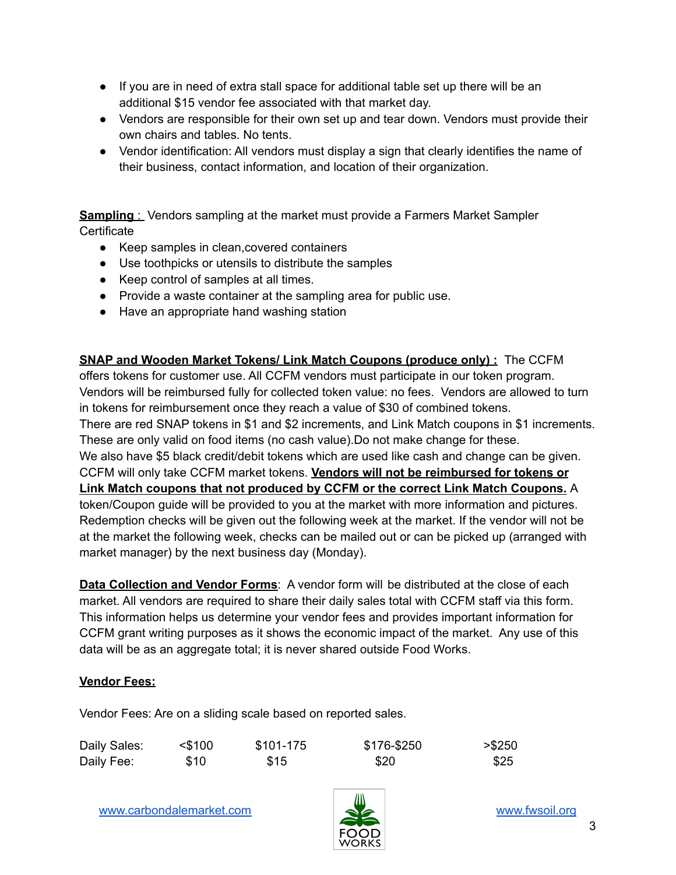- If you are in need of extra stall space for additional table set up there will be an additional \$15 vendor fee associated with that market day.
- Vendors are responsible for their own set up and tear down. Vendors must provide their own chairs and tables. No tents.
- Vendor identification: All vendors must display a sign that clearly identifies the name of their business, contact information, and location of their organization.

**Sampling** : Vendors sampling at the market must provide a Farmers Market Sampler **Certificate** 

- Keep samples in clean, covered containers
- Use toothpicks or utensils to distribute the samples
- Keep control of samples at all times.
- Provide a waste container at the sampling area for public use.
- Have an appropriate hand washing station

**SNAP and Wooden Market Tokens/ Link Match Coupons (produce only) :** The CCFM offers tokens for customer use. All CCFM vendors must participate in our token program. Vendors will be reimbursed fully for collected token value: no fees. Vendors are allowed to turn in tokens for reimbursement once they reach a value of \$30 of combined tokens. There are red SNAP tokens in \$1 and \$2 increments, and Link Match coupons in \$1 increments. These are only valid on food items (no cash value).Do not make change for these. We also have \$5 black credit/debit tokens which are used like cash and change can be given. CCFM will only take CCFM market tokens. **Vendors will not be reimbursed for tokens or Link Match coupons that not produced by CCFM or the correct Link Match Coupons.** A token/Coupon guide will be provided to you at the market with more information and pictures. Redemption checks will be given out the following week at the market. If the vendor will not be at the market the following week, checks can be mailed out or can be picked up (arranged with market manager) by the next business day (Monday).

**Data Collection and Vendor Forms**: A vendor form will be distributed at the close of each market. All vendors are required to share their daily sales total with CCFM staff via this form. This information helps us determine your vendor fees and provides important information for CCFM grant writing purposes as it shows the economic impact of the market. Any use of this data will be as an aggregate total; it is never shared outside Food Works.

#### **Vendor Fees:**

Vendor Fees: Are on a sliding scale based on reported sales.

| Daily Sales: | $<$ \$100 | \$101-175 | \$176-\$250 | > \$250 |
|--------------|-----------|-----------|-------------|---------|
| Daily Fee:   | \$10      | \$15      | \$20        | \$25    |

[www.carbondalemarket.com](http://www.carbondalemarket.com) **[www.fwsoil.org](http://www.fwsoil.org)** www.fwsoil.org

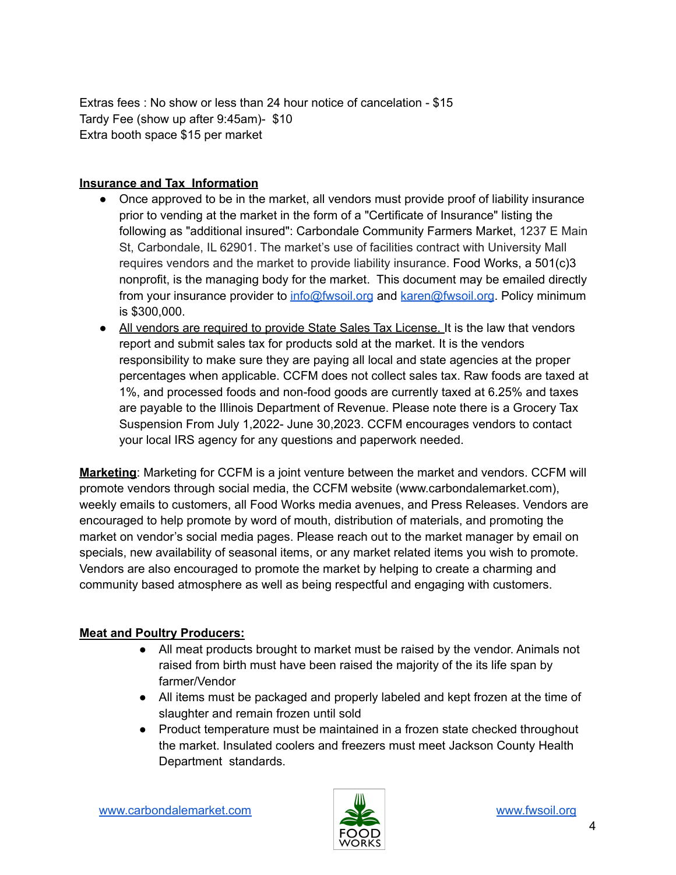Extras fees : No show or less than 24 hour notice of cancelation - \$15 Tardy Fee (show up after 9:45am)- \$10 Extra booth space \$15 per market

#### **Insurance and Tax Information**

- Once approved to be in the market, all vendors must provide proof of liability insurance prior to vending at the market in the form of a "Certificate of Insurance" listing the following as "additional insured": Carbondale Community Farmers Market, 1237 E Main St, Carbondale, IL 62901. The market's use of facilities contract with University Mall requires vendors and the market to provide liability insurance. Food Works, a 501(c)3 nonprofit, is the managing body for the market. This document may be emailed directly from your insurance provider to [info@fwsoil.org](mailto:info@fwsoil.org) and [karen@fwsoil.org](mailto:karen@fwsoil.org). Policy minimum is \$300,000.
- All vendors are required to provide State Sales Tax License. It is the law that vendors report and submit sales tax for products sold at the market. It is the vendors responsibility to make sure they are paying all local and state agencies at the proper percentages when applicable. CCFM does not collect sales tax. Raw foods are taxed at 1%, and processed foods and non-food goods are currently taxed at 6.25% and taxes are payable to the Illinois Department of Revenue. Please note there is a Grocery Tax Suspension From July 1,2022- June 30,2023. CCFM encourages vendors to contact your local IRS agency for any questions and paperwork needed.

**Marketing**: Marketing for CCFM is a joint venture between the market and vendors. CCFM will promote vendors through social media, the CCFM website (www.carbondalemarket.com), weekly emails to customers, all Food Works media avenues, and Press Releases. Vendors are encouraged to help promote by word of mouth, distribution of materials, and promoting the market on vendor's social media pages. Please reach out to the market manager by email on specials, new availability of seasonal items, or any market related items you wish to promote. Vendors are also encouraged to promote the market by helping to create a charming and community based atmosphere as well as being respectful and engaging with customers.

## **Meat and Poultry Producers:**

- All meat products brought to market must be raised by the vendor. Animals not raised from birth must have been raised the majority of the its life span by farmer/Vendor
- All items must be packaged and properly labeled and kept frozen at the time of slaughter and remain frozen until sold
- Product temperature must be maintained in a frozen state checked throughout the market. Insulated coolers and freezers must meet Jackson County Health Department standards.

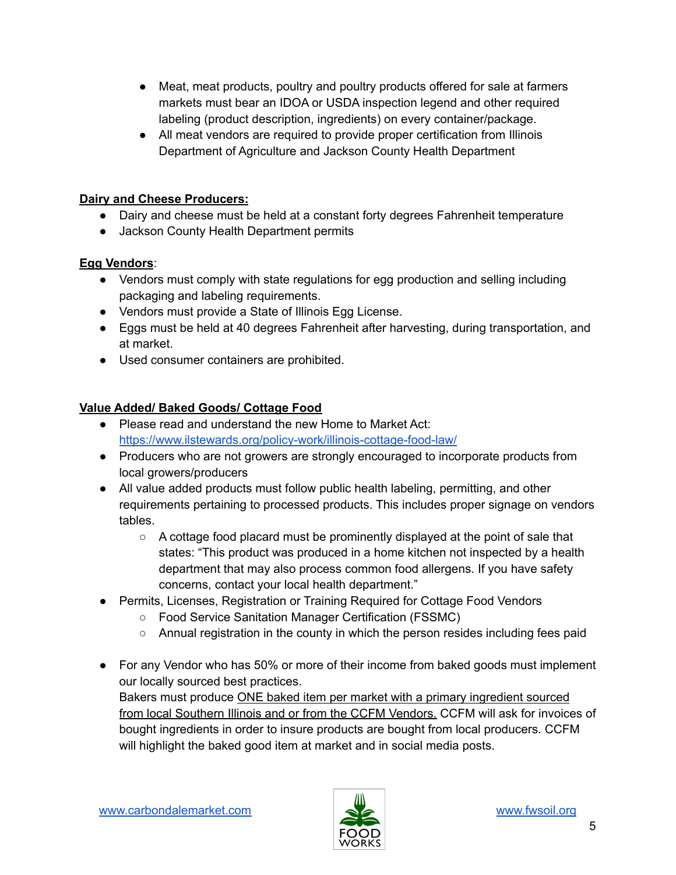- Meat, meat products, poultry and poultry products offered for sale at farmers markets must bear an IDOA or USDA inspection legend and other required labeling (product description, ingredients) on every container/package.
- All meat vendors are required to provide proper certification from Illinois Department of Agriculture and Jackson County Health Department

## **Dairy and Cheese Producers:**

- Dairy and cheese must be held at a constant forty degrees Fahrenheit temperature
- Jackson County Health Department permits

### **Egg Vendors**:

- Vendors must comply with state regulations for egg production and selling including packaging and labeling requirements.
- Vendors must provide a State of Illinois Egg License.
- Eggs must be held at 40 degrees Fahrenheit after harvesting, during transportation, and at market.
- Used consumer containers are prohibited.

## **Value Added/ Baked Goods/ Cottage Food**

- Please read and understand the new Home to Market Act: <https://www.ilstewards.org/policy-work/illinois-cottage-food-law/>
- Producers who are not growers are strongly encouraged to incorporate products from local growers/producers
- All value added products must follow public health labeling, permitting, and other requirements pertaining to processed products. This includes proper signage on vendors tables.
	- $\circ$  A cottage food placard must be prominently displayed at the point of sale that states: "This product was produced in a home kitchen not inspected by a health department that may also process common food allergens. If you have safety concerns, contact your local health department."
- Permits, Licenses, Registration or Training Required for Cottage Food Vendors
	- Food Service Sanitation Manager Certification (FSSMC)
	- Annual registration in the county in which the person resides including fees paid
- For any Vendor who has 50% or more of their income from baked goods must implement our locally sourced best practices. Bakers must produce ONE baked item per market with a primary ingredient sourced from local Southern Illinois and or from the CCFM Vendors. CCFM will ask for invoices of bought ingredients in order to insure products are bought from local producers. CCFM will highlight the baked good item at market and in social media posts.

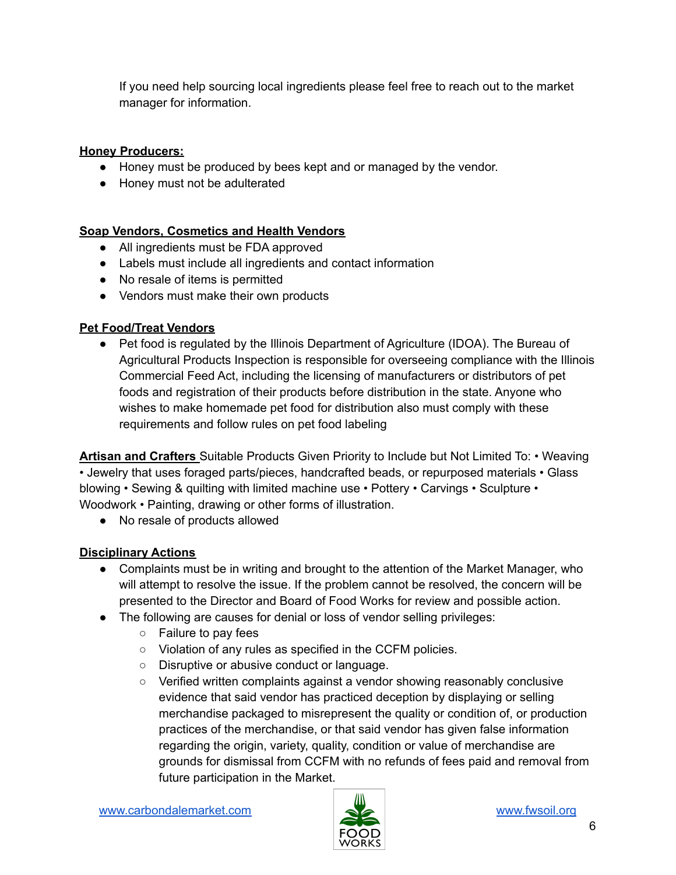If you need help sourcing local ingredients please feel free to reach out to the market manager for information.

# **Honey Producers:**

- Honey must be produced by bees kept and or managed by the vendor.
- Honey must not be adulterated

# **Soap Vendors, Cosmetics and Health Vendors**

- All ingredients must be FDA approved
- Labels must include all ingredients and contact information
- No resale of items is permitted
- Vendors must make their own products

# **Pet Food/Treat Vendors**

• Pet food is regulated by the Illinois Department of Agriculture (IDOA). The Bureau of Agricultural Products Inspection is responsible for overseeing compliance with the Illinois Commercial Feed Act, including the licensing of manufacturers or distributors of pet foods and registration of their products before distribution in the state. Anyone who wishes to make homemade pet food for distribution also must comply with these requirements and follow rules on pet food labeling

**Artisan and Crafters** Suitable Products Given Priority to Include but Not Limited To: • Weaving • Jewelry that uses foraged parts/pieces, handcrafted beads, or repurposed materials • Glass blowing • Sewing & quilting with limited machine use • Pottery • Carvings • Sculpture • Woodwork • Painting, drawing or other forms of illustration.

● No resale of products allowed

# **Disciplinary Actions**

- Complaints must be in writing and brought to the attention of the Market Manager, who will attempt to resolve the issue. If the problem cannot be resolved, the concern will be presented to the Director and Board of Food Works for review and possible action.
- The following are causes for denial or loss of vendor selling privileges:
	- Failure to pay fees
	- Violation of any rules as specified in the CCFM policies.
	- Disruptive or abusive conduct or language.
	- Verified written complaints against a vendor showing reasonably conclusive evidence that said vendor has practiced deception by displaying or selling merchandise packaged to misrepresent the quality or condition of, or production practices of the merchandise, or that said vendor has given false information regarding the origin, variety, quality, condition or value of merchandise are grounds for dismissal from CCFM with no refunds of fees paid and removal from future participation in the Market.

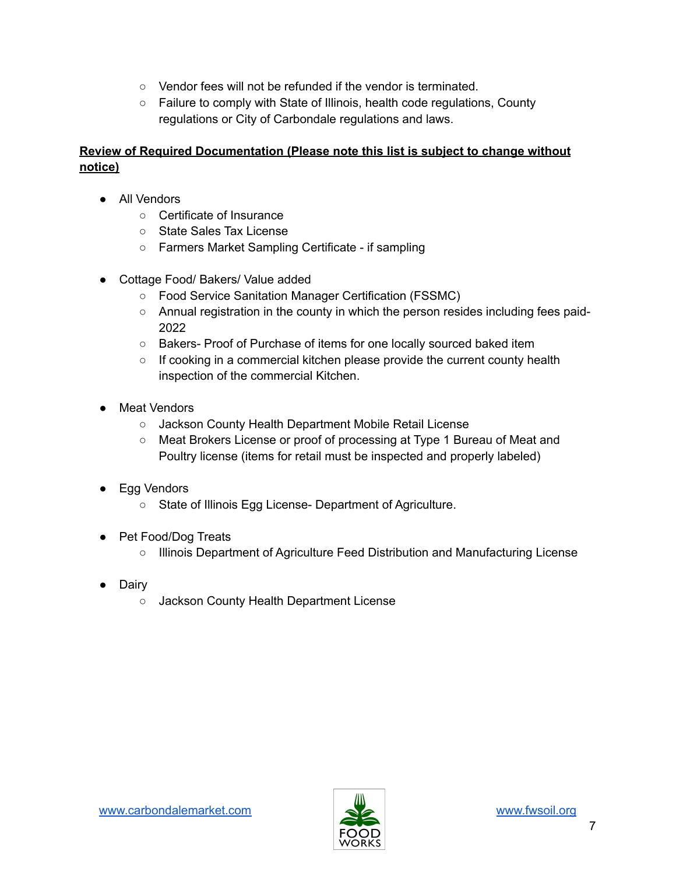- Vendor fees will not be refunded if the vendor is terminated.
- Failure to comply with State of Illinois, health code regulations, County regulations or City of Carbondale regulations and laws.

## **Review of Required Documentation (Please note this list is subject to change without notice)**

- All Vendors
	- Certificate of Insurance
	- State Sales Tax License
	- Farmers Market Sampling Certificate if sampling
- Cottage Food/ Bakers/ Value added
	- Food Service Sanitation Manager Certification (FSSMC)
	- Annual registration in the county in which the person resides including fees paid-2022
	- Bakers- Proof of Purchase of items for one locally sourced baked item
	- If cooking in a commercial kitchen please provide the current county health inspection of the commercial Kitchen.
- Meat Vendors
	- Jackson County Health Department Mobile Retail License
	- Meat Brokers License or proof of processing at Type 1 Bureau of Meat and Poultry license (items for retail must be inspected and properly labeled)
- Egg Vendors
	- State of Illinois Egg License- Department of Agriculture.
- Pet Food/Dog Treats
	- Illinois Department of Agriculture Feed Distribution and Manufacturing License
- Dairy
	- Jackson County Health Department License